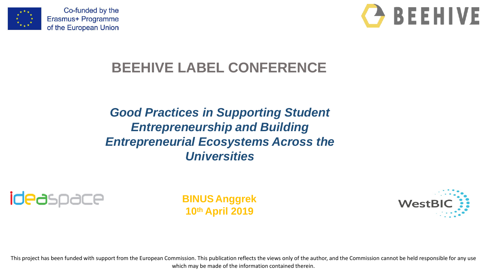



### **BEEHIVE LABEL CONFERENCE**

*Good Practices in Supporting Student Entrepreneurship and Building Entrepreneurial Ecosystems Across the Universities*



**BINUS Anggrek 10th April 2019**



This project has been funded with support from the European Commission. This publication reflects the views only of the author, and the Commission cannot be held responsible for any use which may be made of the information contained therein.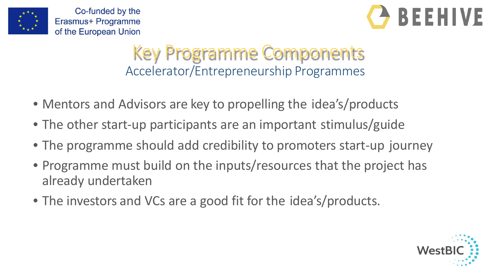



## Key Programme Components Accelerator/Entrepreneurship Programmes

- Mentors and Advisors are key to propelling the idea's/products
- The other start-up participants are an important stimulus/guide
- The programme should add credibility to promoters start-up journey
- Programme must build on the inputs/resources that the project has already undertaken
- The investors and VCs are a good fit for the idea's/products.

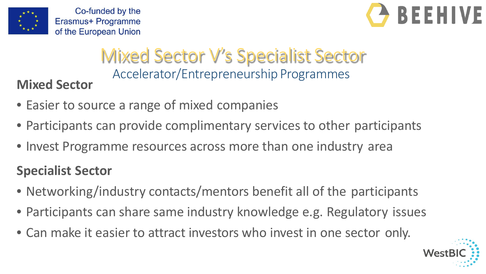



## Mixed Sector V's Specialist Sector Accelerator/Entrepreneurship Programmes **Mixed Sector**

- Easier to source a range of mixed companies
- Participants can provide complimentary services to other participants
- Invest Programme resources across more than one industry area

### **Specialist Sector**

- Networking/industry contacts/mentors benefit all of the participants
- Participants can share same industry knowledge e.g. Regulatory issues
- Can make it easier to attract investors who invest in one sector only.

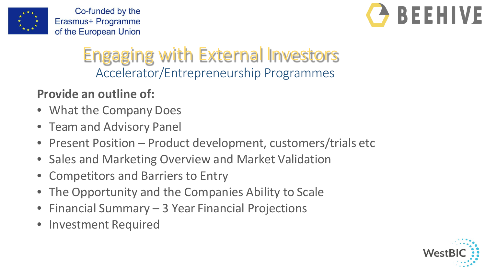



## Engaging with External Investors Accelerator/Entrepreneurship Programmes

### **Provide an outline of:**

- What the Company Does
- Team and Advisory Panel
- Present Position Product development, customers/trials etc
- Sales and Marketing Overview and Market Validation
- Competitors and Barriers to Entry
- The Opportunity and the Companies Ability to Scale
- Financial Summary 3 Year Financial Projections
- Investment Required

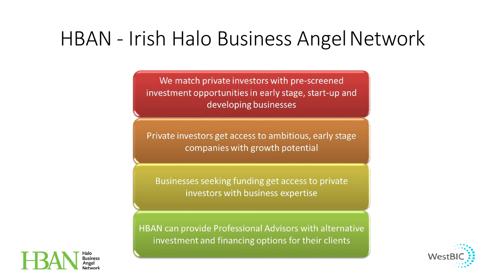## HBAN - Irish Halo Business Angel Network

We match private investors with pre-screened investment opportunities in early stage, start-up and developing businesses

Private investors get access to ambitious, early stage companies with growth potential

Businesses seeking funding get access to private investors with business expertise

HBAN can provide Professional Advisors with alternative investment and financing options for their clients



**Business**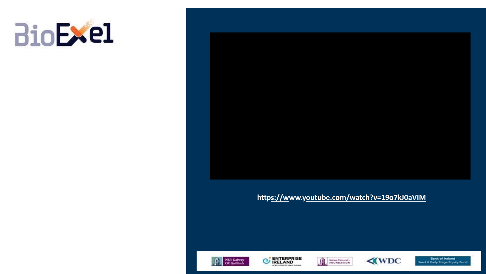



#### https://www.youtube.com/watch?v=19o7kJ0aVIM









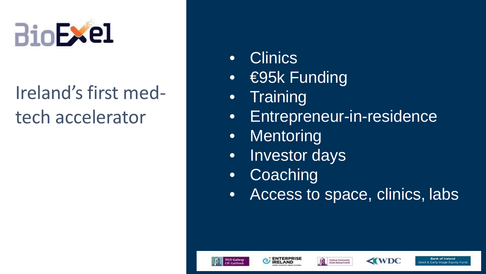

# Ireland's first medtech accelerator

- Clinics
- €95k Funding
- Training
- Entrepreneur-in-residence
- Mentoring
- Investor days
- Coaching
- Access to space, clinics, labs









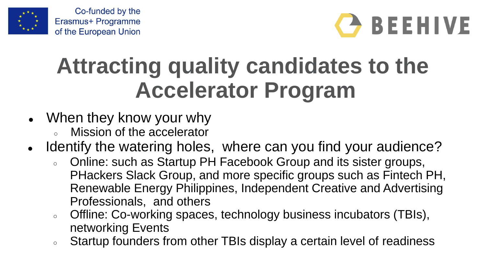



# **Attracting quality candidates to the Accelerator Program**

- When they know your why
	- Mission of the accelerator
- Identify the watering holes, where can you find your audience?
	- Online: such as Startup PH Facebook Group and its sister groups, PHackers Slack Group, and more specific groups such as Fintech PH, Renewable Energy Philippines, Independent Creative and Advertising Professionals, and others
	- Offline: Co-working spaces, technology business incubators (TBIs), networking Events
	- Startup founders from other TBIs display a certain level of readiness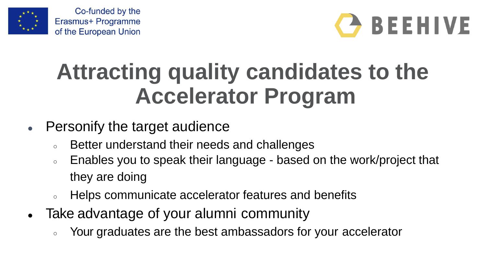



# **Attracting quality candidates to the Accelerator Program**

- Personify the target audience
	- Better understand their needs and challenges
	- Enables you to speak their language based on the work/project that they are doing
	- Helps communicate accelerator features and benefits
- Take advantage of your alumni community
	- Your graduates are the best ambassadors for your accelerator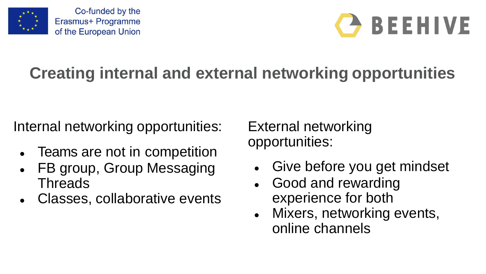



## **Creating internal and external networking opportunities**

Internal networking opportunities:

- Teams are not in competition
- FB group, Group Messaging **Threads**
- Classes, collaborative events

External networking opportunities:

- Give before you get mindset
- Good and rewarding experience for both
- Mixers, networking events, online channels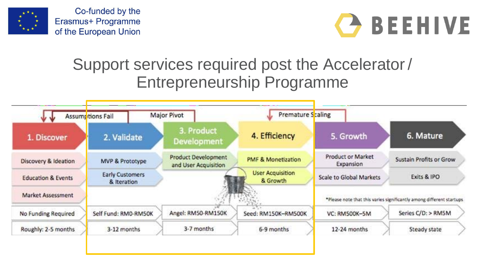



### Support services required post the Accelerator / Entrepreneurship Programme